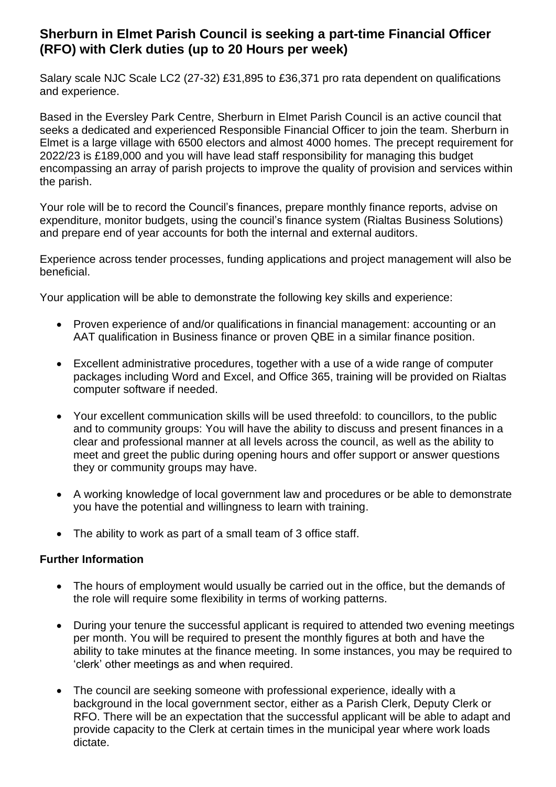## **Sherburn in Elmet Parish Council is seeking a part-time Financial Officer (RFO) with Clerk duties (up to 20 Hours per week)**

Salary scale NJC Scale LC2 (27-32) £31,895 to £36,371 pro rata dependent on qualifications and experience.

Based in the Eversley Park Centre, Sherburn in Elmet Parish Council is an active council that seeks a dedicated and experienced Responsible Financial Officer to join the team. Sherburn in Elmet is a large village with 6500 electors and almost 4000 homes. The precept requirement for 2022/23 is £189,000 and you will have lead staff responsibility for managing this budget encompassing an array of parish projects to improve the quality of provision and services within the parish.

Your role will be to record the Council's finances, prepare monthly finance reports, advise on expenditure, monitor budgets, using the council's finance system (Rialtas Business Solutions) and prepare end of year accounts for both the internal and external auditors.

Experience across tender processes, funding applications and project management will also be beneficial.

Your application will be able to demonstrate the following key skills and experience:

- Proven experience of and/or qualifications in financial management: accounting or an AAT qualification in Business finance or proven QBE in a similar finance position.
- Excellent administrative procedures, together with a use of a wide range of computer packages including Word and Excel, and Office 365, training will be provided on Rialtas computer software if needed.
- Your excellent communication skills will be used threefold: to councillors, to the public and to community groups: You will have the ability to discuss and present finances in a clear and professional manner at all levels across the council, as well as the ability to meet and greet the public during opening hours and offer support or answer questions they or community groups may have.
- A working knowledge of local government law and procedures or be able to demonstrate you have the potential and willingness to learn with training.
- The ability to work as part of a small team of 3 office staff.

## **Further Information**

- The hours of employment would usually be carried out in the office, but the demands of the role will require some flexibility in terms of working patterns.
- During your tenure the successful applicant is required to attended two evening meetings per month. You will be required to present the monthly figures at both and have the ability to take minutes at the finance meeting. In some instances, you may be required to 'clerk' other meetings as and when required.
- The council are seeking someone with professional experience, ideally with a background in the local government sector, either as a Parish Clerk, Deputy Clerk or RFO. There will be an expectation that the successful applicant will be able to adapt and provide capacity to the Clerk at certain times in the municipal year where work loads dictate.